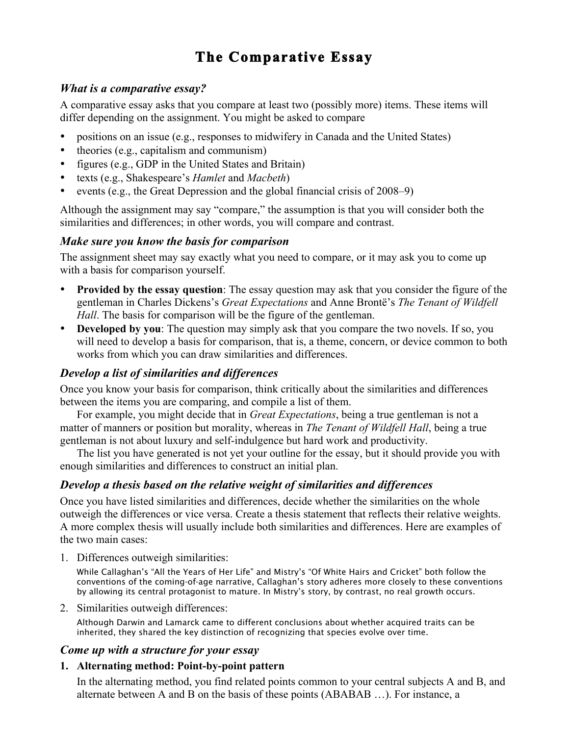# **The Comparative Essay**

### *What is a comparative essay?*

A comparative essay asks that you compare at least two (possibly more) items. These items will differ depending on the assignment. You might be asked to compare

- positions on an issue (e.g., responses to midwifery in Canada and the United States)
- theories (e.g., capitalism and communism)
- figures (e.g., GDP in the United States and Britain)
- texts (e.g., Shakespeare's *Hamlet* and *Macbeth*)
- events (e.g., the Great Depression and the global financial crisis of 2008–9)

Although the assignment may say "compare," the assumption is that you will consider both the similarities and differences; in other words, you will compare and contrast.

### *Make sure you know the basis for comparison*

The assignment sheet may say exactly what you need to compare, or it may ask you to come up with a basis for comparison yourself.

- **Provided by the essay question**: The essay question may ask that you consider the figure of the gentleman in Charles Dickens's *Great Expectations* and Anne Brontë's *The Tenant of Wildfell Hall*. The basis for comparison will be the figure of the gentleman.
- **Developed by you**: The question may simply ask that you compare the two novels. If so, you will need to develop a basis for comparison, that is, a theme, concern, or device common to both works from which you can draw similarities and differences.

## *Develop a list of similarities and differences*

Once you know your basis for comparison, think critically about the similarities and differences between the items you are comparing, and compile a list of them.

For example, you might decide that in *Great Expectations*, being a true gentleman is not a matter of manners or position but morality, whereas in *The Tenant of Wildfell Hall*, being a true gentleman is not about luxury and self-indulgence but hard work and productivity.

The list you have generated is not yet your outline for the essay, but it should provide you with enough similarities and differences to construct an initial plan.

### *Develop a thesis based on the relative weight of similarities and differences*

Once you have listed similarities and differences, decide whether the similarities on the whole outweigh the differences or vice versa. Create a thesis statement that reflects their relative weights. A more complex thesis will usually include both similarities and differences. Here are examples of the two main cases:

1. Differences outweigh similarities:

While Callaghan's "All the Years of Her Life" and Mistry's "Of White Hairs and Cricket" both follow the conventions of the coming-of-age narrative, Callaghan's story adheres more closely to these conventions by allowing its central protagonist to mature. In Mistry's story, by contrast, no real growth occurs.

2. Similarities outweigh differences:

Although Darwin and Lamarck came to different conclusions about whether acquired traits can be inherited, they shared the key distinction of recognizing that species evolve over time.

### *Come up with a structure for your essay*

#### **1. Alternating method: Point-by-point pattern**

In the alternating method, you find related points common to your central subjects A and B, and alternate between A and B on the basis of these points (ABABAB …). For instance, a